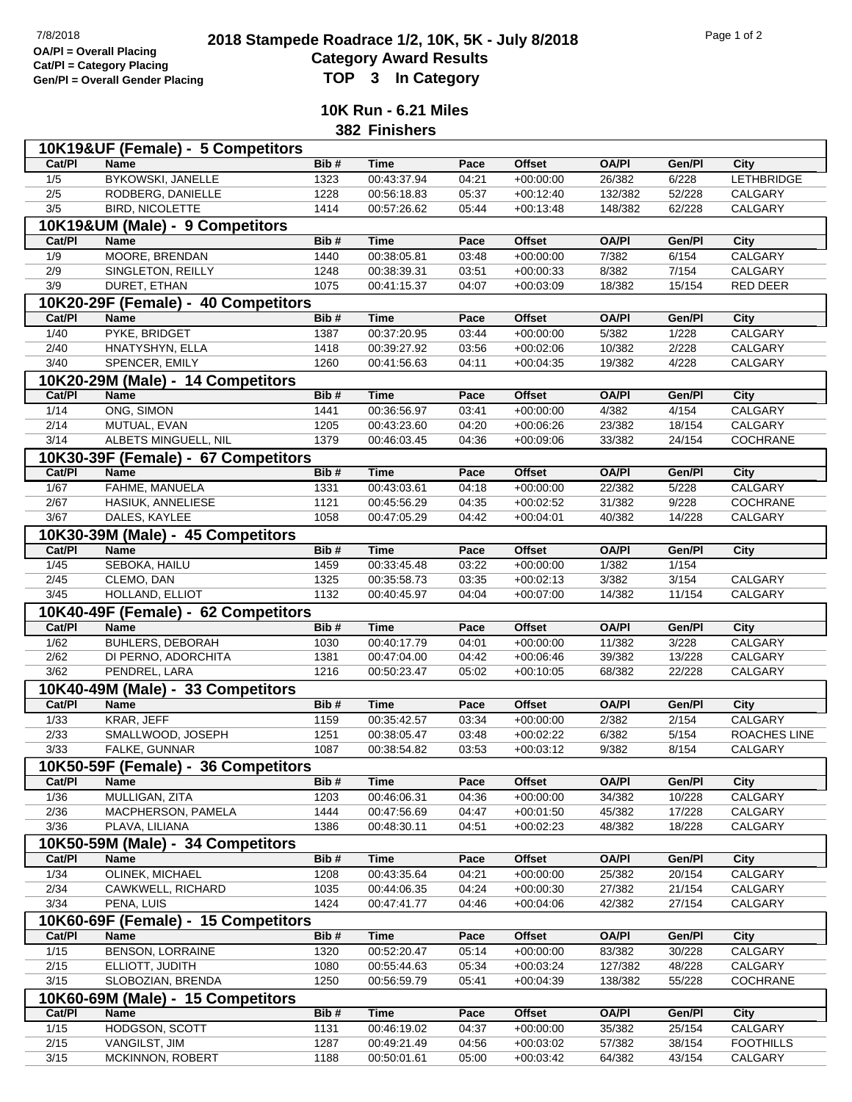## **2018 Stampede Roadrace 1/2, 10K, 5K - July 8/2018** 7/8/2018 Page 1 of 2 **Category Award Results Gen/Pl = Overall Gender Placing TOP 3 In Category**

**10K Run - 6.21 Miles**

**382 Finishers**

|                        | 10K19&UF (Female) - 5 Competitors                  |              |                            |                |                            |                  |                  |                             |
|------------------------|----------------------------------------------------|--------------|----------------------------|----------------|----------------------------|------------------|------------------|-----------------------------|
| Cat/PI                 | <b>Name</b>                                        | Bib#         | <b>Time</b>                | Pace           | <b>Offset</b>              | <b>OA/PI</b>     | Gen/Pl           | City                        |
| 1/5                    | <b>BYKOWSKI, JANELLE</b>                           | 1323         | 00:43:37.94                | 04:21          | $+00:00:00$                | 26/382           | 6/228            | <b>LETHBRIDGE</b>           |
| 2/5                    | RODBERG, DANIELLE                                  | 1228         | 00:56:18.83                | 05:37          | $+00:12:40$                | 132/382          | 52/228           | CALGARY                     |
| 3/5                    | <b>BIRD, NICOLETTE</b>                             | 1414         | 00:57:26.62                | 05:44          | $+00:13:48$                | 148/382          | 62/228           | CALGARY                     |
|                        | 10K19&UM (Male) - 9 Competitors                    |              |                            |                |                            |                  |                  |                             |
| Cat/PI                 | <b>Name</b>                                        | Bib#         | <b>Time</b>                | Pace           | <b>Offset</b>              | <b>OA/PI</b>     | Gen/Pl           | City                        |
| 1/9                    | MOORE, BRENDAN                                     | 1440         | 00:38:05.81                | 03:48          | $+00:00:00$                | 7/382            | 6/154            | CALGARY                     |
|                        | SINGLETON, REILLY                                  | 1248         |                            | 03:51          |                            |                  | 7/154            | CALGARY                     |
| 2/9<br>3/9             |                                                    |              | 00:38:39.31                | 04:07          | $+00:00:33$                | 8/382            |                  |                             |
|                        | DURET, ETHAN                                       | 1075         | 00:41:15.37                |                | $+00:03:09$                | 18/382           | 15/154           | RED DEER                    |
|                        | 10K20-29F (Female) - 40 Competitors                |              |                            |                |                            |                  |                  |                             |
| Cat/PI                 | <b>Name</b>                                        | Bib#         | <b>Time</b>                | Pace           | <b>Offset</b>              | <b>OA/PI</b>     | Gen/Pl           | City                        |
| 1/40                   | PYKE, BRIDGET                                      | 1387         | 00:37:20.95                | 03:44          | $+00:00:00$                | 5/382            | 1/228            | CALGARY                     |
| 2/40                   | HNATYSHYN, ELLA                                    | 1418         | 00:39:27.92                | 03:56          | $+00:02:06$                | 10/382           | 2/228            | <b>CALGARY</b>              |
| 3/40                   | SPENCER, EMILY                                     | 1260         | 00:41:56.63                | 04:11          | $+00:04:35$                | 19/382           | 4/228            | CALGARY                     |
|                        | 10K20-29M (Male) - 14 Competitors                  |              |                            |                |                            |                  |                  |                             |
| Cat/PI                 | <b>Name</b>                                        | Bib#         | <b>Time</b>                | Pace           | <b>Offset</b>              | <b>OA/PI</b>     | Gen/Pl           | <b>City</b>                 |
| 1/14                   | ONG, SIMON                                         | 1441         | 00:36:56.97                | 03:41          | $+00:00:00$                | 4/382            | 4/154            | CALGARY                     |
| 2/14                   | MUTUAL, EVAN                                       | 1205         | 00:43:23.60                | 04:20          | $+00:06:26$                | 23/382           | 18/154           | CALGARY                     |
| 3/14                   | ALBETS MINGUELL, NIL                               | 1379         | 00:46:03.45                | 04:36          | $+00:09:06$                | 33/382           | 24/154           | COCHRANE                    |
|                        |                                                    |              |                            |                |                            |                  |                  |                             |
| Cat/PI                 | 10K30-39F (Female) - 67 Competitors                | Bib#         | <b>Time</b>                | Pace           | <b>Offset</b>              | <b>OA/PI</b>     | Gen/Pl           |                             |
|                        | <b>Name</b>                                        |              |                            |                |                            |                  |                  | <b>City</b>                 |
| 1/67                   | FAHME, MANUELA                                     | 1331         | 00:43:03.61                | 04:18          | $+00:00:00$                | 22/382           | 5/228            | CALGARY                     |
| 2/67                   | HASIUK, ANNELIESE                                  | 1121         | 00:45:56.29                | 04:35          | $+00:02:52$                | 31/382           | 9/228            | COCHRANE                    |
| 3/67                   | DALES, KAYLEE                                      | 1058         | 00:47:05.29                | 04:42          | $+00:04:01$                | 40/382           | 14/228           | CALGARY                     |
|                        | 10K30-39M (Male) - 45 Competitors                  |              |                            |                |                            |                  |                  |                             |
| Cat/PI                 | <b>Name</b>                                        | Bib#         | <b>Time</b>                | Pace           | <b>Offset</b>              | <b>OA/PI</b>     | Gen/Pl           | <b>City</b>                 |
| $\frac{1}{45}$         | SEBOKA, HAILU                                      | 1459         | 00:33:45.48                | 03:22          | $+00:00:00$                | 1/382            | 1/154            |                             |
| 2/45                   | CLEMO, DAN                                         | 1325         | 00:35:58.73                | 03:35          | $+00:02:13$                | 3/382            | 3/154            | CALGARY                     |
| $3/45$                 | HOLLAND, ELLIOT                                    | 1132         | 00:40:45.97                | 04:04          | $+00:07:00$                | 14/382           | 11/154           | CALGARY                     |
|                        |                                                    |              |                            |                |                            |                  |                  |                             |
|                        |                                                    |              |                            |                |                            |                  |                  |                             |
|                        | 10K40-49F (Female) - 62 Competitors<br><b>Name</b> | Bib#         | <b>Time</b>                | Pace           | <b>Offset</b>              | <b>OA/PI</b>     | Gen/Pl           |                             |
| Cat/PI                 |                                                    |              |                            |                |                            |                  |                  | City                        |
| 1/62                   | <b>BUHLERS, DEBORAH</b>                            | 1030         | 00:40:17.79                | 04:01          | $+00:00:00$                | 11/382           | 3/228            | CALGARY                     |
| 2/62                   | DI PERNO, ADORCHITA                                | 1381         | 00:47:04.00                | 04:42          | $+00:06:46$                | 39/382           | 13/228           | CALGARY                     |
| 3/62                   | PENDREL, LARA                                      | 1216         | 00:50:23.47                | 05:02          | $+00:10:05$                | 68/382           | 22/228           | CALGARY                     |
|                        | 10K40-49M (Male) - 33 Competitors                  |              |                            |                |                            |                  |                  |                             |
| Cat/PI                 | <b>Name</b>                                        | Bib#         | <b>Time</b>                | Pace           | <b>Offset</b>              | <b>OA/PI</b>     | Gen/Pl           | <b>City</b>                 |
| 1/33                   | KRAR, JEFF                                         | 1159         | 00:35:42.57                | 03:34          | $+00:00:00$                | 2/382            | 2/154            | CALGARY                     |
| 2/33                   | SMALLWOOD, JOSEPH                                  | 1251         | 00:38:05.47                | 03:48          | $+00:02:22$                | 6/382            | 5/154            | ROACHES LINE                |
| $\overline{3/33}$      | FALKE, GUNNAR                                      | 1087         | 00:38:54.82                | 03:53          | $+00:03:12$                | 9/382            | 8/154            | CALGARY                     |
|                        | 10K50-59F (Female) - 36 Competitors                |              |                            |                |                            |                  |                  |                             |
| Cat/PI                 | <b>Name</b>                                        | Bib#         | <b>Time</b>                | Pace           | Offset                     | <b>OA/PI</b>     | Gen/Pl           | City                        |
| 1/36                   | MULLIGAN, ZITA                                     | 1203         | 00:46:06.31                | 04:36          | $+00:00:00$                | 34/382           | 10/228           | <b>CALGARY</b>              |
| 2/36                   | MACPHERSON, PAMELA                                 | 1444         | 00:47:56.69                | 04:47          | $+00:01:50$                | 45/382           | 17/228           | CALGARY                     |
| $\frac{3}{36}$         | PLAVA, LILIANA                                     | 1386         | 00:48:30.11                | 04:51          | $+00:02:23$                | 48/382           | 18/228           | CALGARY                     |
|                        | 10K50-59M (Male) - 34 Competitors                  |              |                            |                |                            |                  |                  |                             |
| Cat/PI                 | Name                                               | Bib#         | <b>Time</b>                | Pace           | Offset                     | <b>OA/PI</b>     | Gen/Pl           | City                        |
|                        | <b>OLINEK, MICHAEL</b>                             |              |                            |                |                            |                  |                  |                             |
| 1/34                   |                                                    | 1208         | 00:43:35.64                | 04:21<br>04:24 | $+00:00:00$                | 25/382           | 20/154           | CALGARY                     |
| 2/34<br>3/34           | CAWKWELL, RICHARD<br>PENA, LUIS                    | 1035<br>1424 | 00:44:06.35<br>00:47:41.77 | 04:46          | $+00:00:30$<br>$+00:04:06$ | 27/382<br>42/382 | 21/154<br>27/154 | CALGARY<br>CALGARY          |
|                        |                                                    |              |                            |                |                            |                  |                  |                             |
|                        | 10K60-69F (Female) - 15 Competitors                |              |                            |                |                            |                  |                  |                             |
| Cat/PI                 | Name                                               | Bib#         | Time                       | Pace           | <b>Offset</b>              | <b>OA/PI</b>     | Gen/Pl           | City                        |
| 1/15                   | <b>BENSON, LORRAINE</b>                            | 1320         | 00:52:20.47                | 05:14          | $+00:00:00$                | 83/382           | 30/228           | CALGARY                     |
| 2/15                   | ELLIOTT, JUDITH                                    | 1080         | 00:55:44.63                | 05:34          | $+00:03:24$                | 127/382          | 48/228           | CALGARY                     |
| 3/15                   | SLOBOZIAN, BRENDA                                  | 1250         | 00:56:59.79                | 05:41          | $+00:04:39$                | 138/382          | 55/228           | COCHRANE                    |
|                        | 10K60-69M (Male) - 15 Competitors                  |              |                            |                |                            |                  |                  |                             |
| Cat/PI                 | <b>Name</b>                                        | Bib#         | <b>Time</b>                | Pace           | <b>Offset</b>              | <b>OA/PI</b>     | Gen/Pl           | City                        |
| 1/15                   | HODGSON, SCOTT                                     | 1131         | 00:46:19.02                | 04:37          | $+00:00:00$                | 35/382           | 25/154           | <b>CALGARY</b>              |
| 2/15<br>$\frac{3}{15}$ | VANGILST, JIM<br>MCKINNON, ROBERT                  | 1287<br>1188 | 00:49:21.49<br>00:50:01.61 | 04:56<br>05:00 | $+00:03:02$<br>$+00:03:42$ | 57/382<br>64/382 | 38/154<br>43/154 | <b>FOOTHILLS</b><br>CALGARY |